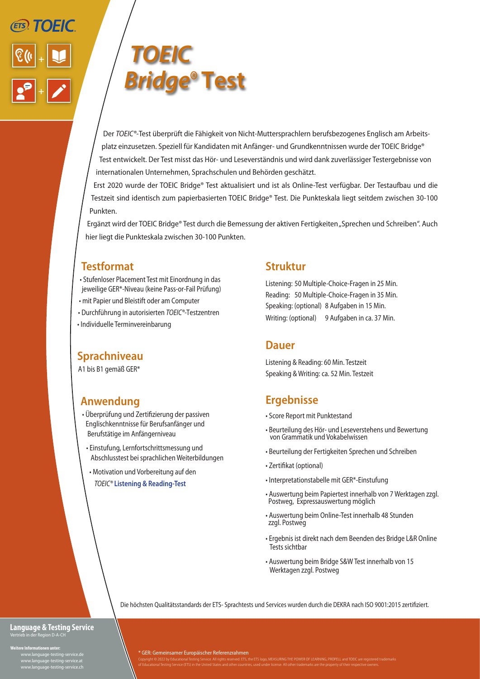



Der *TOEIC®-*Test überprüft die Fähigkeit von Nicht-Muttersprachlern berufsbezogenes Englisch am Arbeitsplatz einzusetzen. Speziell für Kandidaten mit Anfänger- und Grundkenntnissen wurde der TOEIC Bridge® Test entwickelt. Der Test misst das Hör- und Leseverständnis und wird dank zuverlässiger Testergebnisse von internationalen Unternehmen, Sprachschulen und Behörden geschätzt.

Erst 2020 wurde der TOEIC Bridge® Test aktualisiert und ist als Online-Test verfügbar. Der Testaufbau und die Testzeit sind identisch zum papierbasierten TOEIC Bridge® Test. Die Punkteskala liegt seitdem zwischen 30-100 Punkten.

Ergänzt wird der TOEIC Bridge® Test durch die Bemessung der aktiven Fertigkeiten "Sprechen und Schreiben". Auch hier liegt die Punkteskala zwischen 30-100 Punkten.

## **Testformat**

- Stufenloser Placement Test mit Einordnung in das jeweilige GER\*-Niveau (keine Pass-or-Fail Prüfung)
- mit Papier und Bleistift oder am Computer
- Durchführung in autorisierten *TOEIC®*-Testzentren
- Individuelle Terminvereinbarung

#### **Sprachniveau**

A1 bis B1 gemäß GER\*

## **Anwendung**

- Überprüfung und Zertifizierung der passiven Englischkenntnisse für Berufsanfänger und Berufstätige im Anfängerniveau
- Einstufung, Lernfortschrittsmessung und Abschlusstest bei sprachlichen Weiterbildungen
- Motivation und Vorbereitung auf den  *TOEIC®* **Listening & Reading-Test**

### **Struktur**

Listening: 50 Multiple-Choice-Fragen in 25 Min. Reading: 50 Multiple-Choice-Fragen in 35 Min. Speaking: (optional) 8 Aufgaben in 15 Min. Writing: (optional) 9 Aufgaben in ca. 37 Min.

#### **Dauer**

Listening & Reading: 60 Min. Testzeit Speaking & Writing: ca. 52 Min. Testzeit

# **Ergebnisse**

- Score Report mit Punktestand
- Beurteilung des Hör- und Leseverstehens und Bewertung von Grammatik und Vokabelwissen
- Beurteilung der Fertigkeiten Sprechen und Schreiben
- Zertifikat (optional)
- Interpretationstabelle mit GER\*-Einstufung
- Auswertung beim Papiertest innerhalb von 7 Werktagen zzgl. Postweg, Expressauswertung möglich
- Auswertung beim Online-Test innerhalb 48 Stunden zzgl. Postweg
- Ergebnis ist direkt nach dem Beenden des Bridge L&R Online Tests sichtbar
- Auswertung beim Bridge S&W Test innerhalb von 15 Werktagen zzgl. Postweg

Die höchsten Qualitätsstandards der ETS- Sprachtests und Services wurden durch die DEKRA nach ISO 9001:2015 zertifiziert.

#### **Language & Testing Service** Vertrieb in der Region D-A-CH

**Weitere Informationen unter:**

 www.language-testing-service.de www.language-testing-service.at www.language-testing-service.ch \* GER: Gemeinsamer Europäischer Referenzrahmen